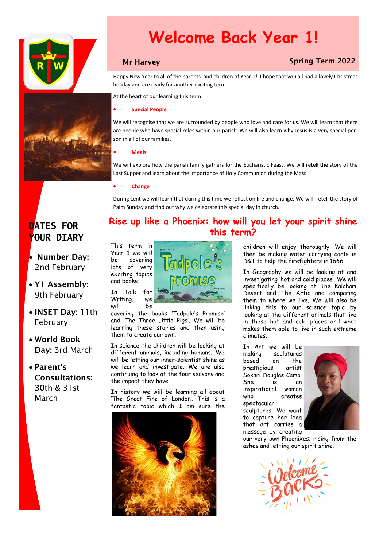

# **Welcome Back Year 1!**

### **Mr Harvey Spring Term 2022**

Happy New Year to all of the parents and children of Year 1! I hope that you all had a lovely Christmas holiday and are ready for another exciting term.

At the heart of our learning this term:

#### • **Special People**

We will recognise that we are surrounded by people who love and care for us. We will learn that there are people who have special roles within our parish. We will also learn why Jesus is a very special person in all of our families.

#### • **Meals**

We will explore how the parish family gathers for the Eucharistic Feast. We will retell the story of the Last Supper and learn about the importance of Holy Communion during the Mass.

#### • **Change**

During Lent we will learn that during this time we reflect on life and change. We will retell the story of Palm Sunday and find out why we celebrate this special day in church.

## **DATES FOR YOUR DIARY**

• Number Day: 2nd February

- Y1 Assembly: 9th February
- INSET Day: 11th February
- World Book Day: 3rd March
- Parent's Consultations: 30th & 31st March

### **Rise up like a Phoenix: how will you let your spirit shine this term?**

This term in Year 1 we will be covering lots of very exciting topics and books.



covering the books 'Tadpole's Promise' and 'The Three Little Pigs'. We will be learning these stories and then using them to create our own.

In science the children will be looking at different animals, including humans. We will be letting our inner-scientist shine as we learn and investigate. We are also continuing to look at the four seasons and the impact they have.

In history we will be learning all about 'The Great Fire of London'. This is a fantastic topic which I am sure the



children will enjoy thoroughly. We will then be making water carrying carts in D&T to help the firefighters in 1666.

In Geography we will be looking at and investigating 'hot and cold places'. We will specifically be looking at The Kalahari Desert and The Artic and comparing them to where we live. We will also be linking this to our science topic by looking at the different animals that live in these hot and cold places and what makes them able to live in such extreme climates.

In Art we will be making sculptures based on the prestigious artist Sokari Douglas Camp. She is an inspirational woman who creates spectacular

sculptures. We want to capture her idea that art carries a message by creating



our very own Phoenixes; rising from the ashes and letting our spirit shine.